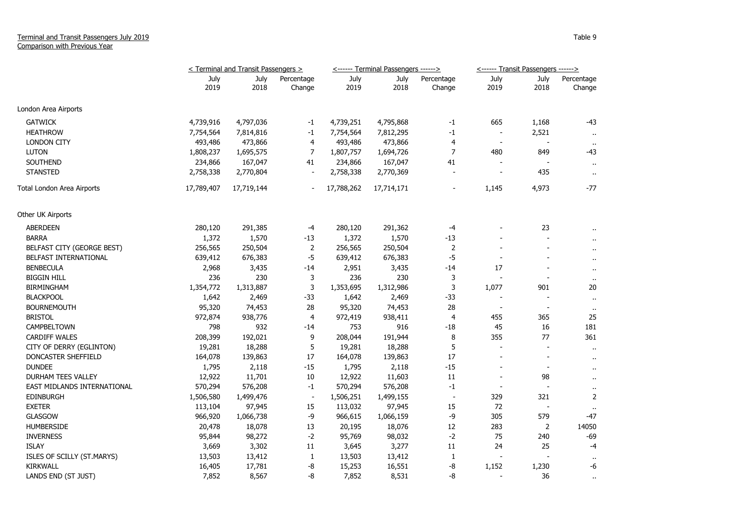## Terminal and Transit Passengers July 2019 Comparison with Previous Year

|                             | < Terminal and Transit Passengers > |              |                          |              | <------ Terminal Passengers ------> |                      | <------ Transit Passengers ------> |                          |                      |
|-----------------------------|-------------------------------------|--------------|--------------------------|--------------|-------------------------------------|----------------------|------------------------------------|--------------------------|----------------------|
|                             | July<br>2019                        | July<br>2018 | Percentage<br>Change     | July<br>2019 | July<br>2018                        | Percentage<br>Change | July<br>2019                       | July<br>2018             | Percentage<br>Change |
| London Area Airports        |                                     |              |                          |              |                                     |                      |                                    |                          |                      |
| <b>GATWICK</b>              | 4,739,916                           | 4,797,036    | $-1$                     | 4,739,251    | 4,795,868                           | $-1$                 | 665                                | 1,168                    | -43                  |
| <b>HEATHROW</b>             | 7,754,564                           | 7,814,816    | $-1$                     | 7,754,564    | 7,812,295                           | $-1$                 | $\overline{\phantom{a}}$           | 2,521                    | $\mathbf{H}$         |
| <b>LONDON CITY</b>          | 493,486                             | 473,866      | 4                        | 493,486      | 473,866                             | 4                    | $\overline{\phantom{a}}$           |                          | $\bullet$            |
| <b>LUTON</b>                | 1,808,237                           | 1,695,575    | $\overline{7}$           | 1,807,757    | 1,694,726                           | $\overline{7}$       | 480                                | 849                      | -43                  |
| SOUTHEND                    | 234,866                             | 167,047      | 41                       | 234,866      | 167,047                             | 41                   |                                    |                          | $\sim$               |
| <b>STANSTED</b>             | 2,758,338                           | 2,770,804    | $\overline{\phantom{a}}$ | 2,758,338    | 2,770,369                           |                      |                                    | 435                      | $\sim$               |
| Total London Area Airports  | 17,789,407                          | 17,719,144   |                          | 17,788,262   | 17,714,171                          |                      | 1,145                              | 4,973                    | -77                  |
| Other UK Airports           |                                     |              |                          |              |                                     |                      |                                    |                          |                      |
| <b>ABERDEEN</b>             | 280,120                             | 291,385      | $-4$                     | 280,120      | 291,362                             | $-4$                 |                                    | 23                       |                      |
| <b>BARRA</b>                | 1,372                               | 1,570        | $-13$                    | 1,372        | 1,570                               | $-13$                |                                    |                          |                      |
| BELFAST CITY (GEORGE BEST)  | 256,565                             | 250,504      | $\overline{2}$           | 256,565      | 250,504                             | $\overline{2}$       |                                    |                          | $\ddot{\phantom{1}}$ |
| BELFAST INTERNATIONAL       | 639,412                             | 676,383      | -5                       | 639,412      | 676,383                             | $-5$                 | $\overline{\phantom{a}}$           |                          | $\mathbf{r}$         |
| <b>BENBECULA</b>            | 2,968                               | 3,435        | -14                      | 2,951        | 3,435                               | $-14$                | 17                                 |                          | $\blacksquare$       |
| <b>BIGGIN HILL</b>          | 236                                 | 230          | 3                        | 236          | 230                                 | 3                    |                                    |                          | $\bullet$            |
| <b>BIRMINGHAM</b>           | 1,354,772                           | 1,313,887    | 3                        | 1,353,695    | 1,312,986                           | 3                    | 1,077                              | 901                      | 20                   |
| <b>BLACKPOOL</b>            | 1,642                               | 2,469        | $-33$                    | 1,642        | 2,469                               | $-33$                |                                    | $\overline{\phantom{a}}$ | $\mathbf{u}$         |
| <b>BOURNEMOUTH</b>          | 95,320                              | 74,453       | 28                       | 95,320       | 74,453                              | 28                   | $\overline{\phantom{a}}$           | $\blacksquare$           | $\mathbf{H}$         |
| <b>BRISTOL</b>              | 972,874                             | 938,776      | 4                        | 972,419      | 938,411                             | 4                    | 455                                | 365                      | 25                   |
| CAMPBELTOWN                 | 798                                 | 932          | -14                      | 753          | 916                                 | $-18$                | 45                                 | 16                       | 181                  |
| <b>CARDIFF WALES</b>        | 208,399                             | 192,021      | 9                        | 208,044      | 191,944                             | 8                    | 355                                | 77                       | 361                  |
| CITY OF DERRY (EGLINTON)    | 19,281                              | 18,288       | 5                        | 19,281       | 18,288                              | 5                    |                                    |                          | $\mathbf{u}$         |
| DONCASTER SHEFFIELD         | 164,078                             | 139,863      | 17                       | 164,078      | 139,863                             | 17                   |                                    |                          | $\sim$               |
| <b>DUNDEE</b>               | 1,795                               | 2,118        | $-15$                    | 1,795        | 2,118                               | $-15$                |                                    | $\overline{\phantom{a}}$ | $\ddot{\phantom{1}}$ |
| DURHAM TEES VALLEY          | 12,922                              | 11,701       | 10                       | 12,922       | 11,603                              | $11\,$               |                                    | 98                       | $\sim$               |
| EAST MIDLANDS INTERNATIONAL | 570,294                             | 576,208      | $-1$                     | 570,294      | 576,208                             | $^{\rm -1}$          | $\blacksquare$                     |                          | $\alpha$             |
| <b>EDINBURGH</b>            | 1,506,580                           | 1,499,476    | $\blacksquare$           | 1,506,251    | 1,499,155                           | $\blacksquare$       | 329                                | 321                      | $\overline{2}$       |
| <b>EXETER</b>               | 113,104                             | 97,945       | 15                       | 113,032      | 97,945                              | 15                   | 72                                 | $\blacksquare$           | $\sim$               |
| <b>GLASGOW</b>              | 966,920                             | 1,066,738    | $-9$                     | 966,615      | 1,066,159                           | $-9$                 | 305                                | 579                      | $-47$                |
| <b>HUMBERSIDE</b>           | 20,478                              | 18,078       | 13                       | 20,195       | 18,076                              | 12                   | 283                                | $\overline{2}$           | 14050                |
| <b>INVERNESS</b>            | 95,844                              | 98,272       | $-2$                     | 95,769       | 98,032                              | $-2$                 | 75                                 | 240                      | -69                  |
| <b>ISLAY</b>                | 3,669                               | 3,302        | $11\,$                   | 3,645        | 3,277                               | $11\,$               | 24                                 | 25                       | -4                   |
| ISLES OF SCILLY (ST.MARYS)  | 13,503                              | 13,412       | $\mathbf{1}$             | 13,503       | 13,412                              | $\mathbf{1}$         |                                    |                          |                      |
| <b>KIRKWALL</b>             | 16,405                              | 17,781       | -8                       | 15,253       | 16,551                              | -8                   | 1,152                              | 1,230                    | -6                   |
| LANDS END (ST JUST)         | 7,852                               | 8,567        | -8                       | 7,852        | 8,531                               | -8                   |                                    | 36                       | $\sim$               |